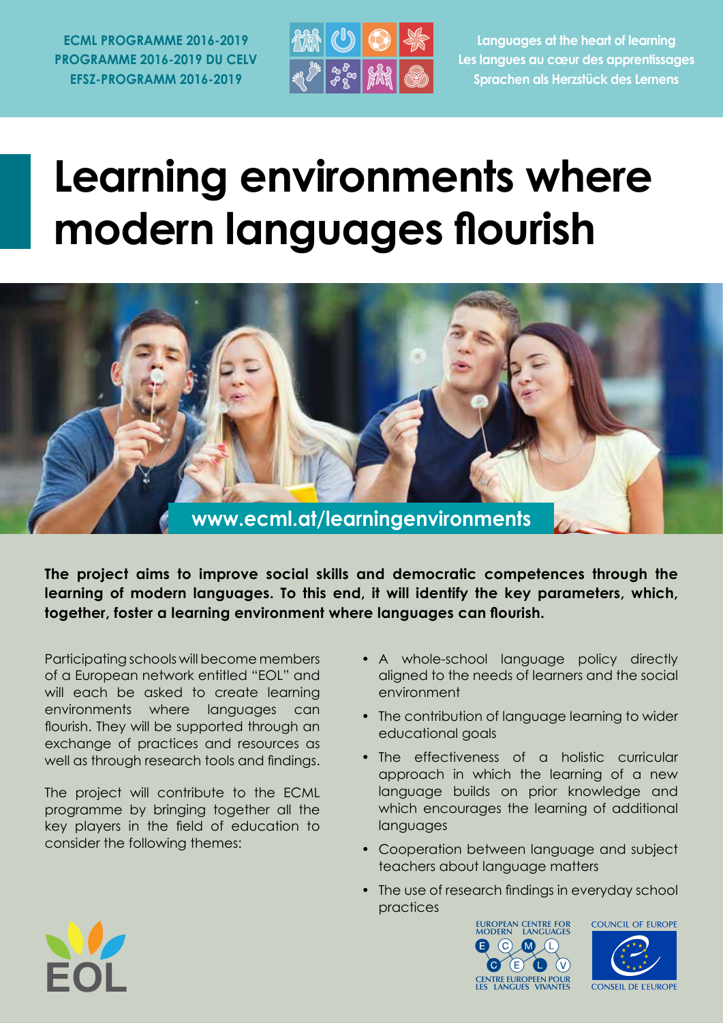**ECML PROGRAMME 2016-2019 PROGRAMME 2016-2019 DU CELV EFSZ-PROGRAMM 2016-2019**



**Languages at the heart of learning Les langues au cœur des apprentissages Sprachen als Herzstück des Lernens**

# **Learning environments where modern languages flourish**



**The project aims to improve social skills and democratic competences through the learning of modern languages. To this end, it will identify the key parameters, which, together, foster a learning environment where languages can flourish.**

Participating schools will become members of a European network entitled "EOL" and will each be asked to create learning environments where languages can flourish. They will be supported through an exchange of practices and resources as well as through research tools and findings.

The project will contribute to the ECML programme by bringing together all the key players in the field of education to consider the following themes:

- A whole-school language policy directly aligned to the needs of learners and the social environment
- The contribution of language learning to wider educational goals
- The effectiveness of a holistic curricular approach in which the learning of a new language builds on prior knowledge and which encourages the learning of additional languages
- Cooperation between language and subject teachers about language matters
- The use of research findings in everyday school practices